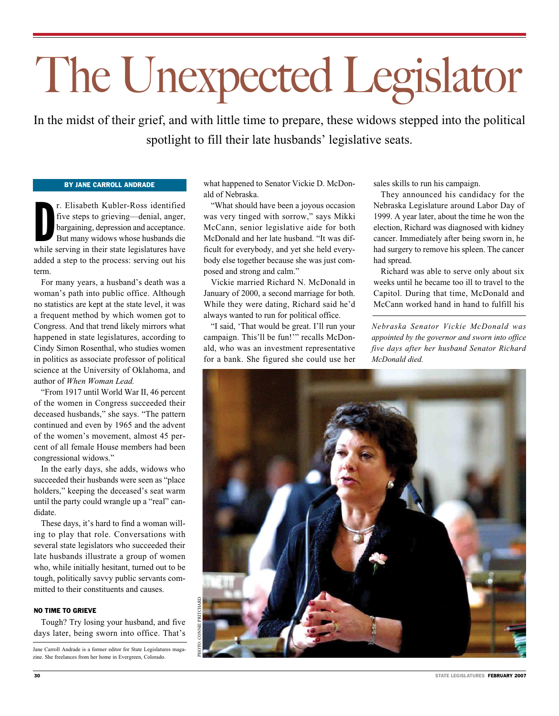# The Unexpected Legislator

In the midst of their grief, and with little time to prepare, these widows stepped into the political spotlight to fill their late husbands' legislative seats.

### By Jane Carroll Andrade

r. Elisabeth Kubler-Ross identified<br>five steps to grieving—denial, anger,<br>bargaining, depression and acceptance.<br>But many widows whose husbands die<br>while serving in their state legislatures have r. Elisabeth Kubler-Ross identified five steps to grieving—denial, anger, bargaining, depression and acceptance. But many widows whose husbands die added a step to the process: serving out his term.

For many years, a husband's death was a woman's path into public office. Although no statistics are kept at the state level, it was a frequent method by which women got to Congress. And that trend likely mirrors what happened in state legislatures, according to Cindy Simon Rosenthal, who studies women in politics as associate professor of political science at the University of Oklahoma, and author of *When Woman Lead.* 

"From 1917 until World War II, 46 percent of the women in Congress succeeded their deceased husbands," she says. "The pattern continued and even by 1965 and the advent of the women's movement, almost 45 percent of all female House members had been congressional widows."

In the early days, she adds, widows who succeeded their husbands were seen as "place holders," keeping the deceased's seat warm until the party could wrangle up a "real" candidate.

These days, it's hard to find a woman willing to play that role. Conversations with several state legislators who succeeded their late husbands illustrate a group of women who, while initially hesitant, turned out to be tough, politically savvy public servants committed to their constituents and causes.

### NO TIME TO GRIEVE

Tough? Try losing your husband, and five days later, being sworn into office. That's

Jane Carroll Andrade is a former editor for State Legislatures magazine. She freelances from her home in Evergreen, Colorado.

what happened to Senator Vickie D. McDonald of Nebraska.

"What should have been a joyous occasion was very tinged with sorrow," says Mikki McCann, senior legislative aide for both McDonald and her late husband. "It was difficult for everybody, and yet she held everybody else together because she was just composed and strong and calm."

Vickie married Richard N. McDonald in January of 2000, a second marriage for both. While they were dating, Richard said he'd always wanted to run for political office.

"I said, 'That would be great. I'll run your campaign. This'll be fun!'" recalls McDonald, who was an investment representative for a bank. She figured she could use her sales skills to run his campaign.

They announced his candidacy for the Nebraska Legislature around Labor Day of 1999. A year later, about the time he won the election, Richard was diagnosed with kidney cancer. Immediately after being sworn in, he had surgery to remove his spleen. The cancer had spread.

Richard was able to serve only about six weeks until he became too ill to travel to the Capitol. During that time, McDonald and McCann worked hand in hand to fulfill his

*Nebraska Senator Vickie McDonald was appointed by the governor and sworn into office five days after her husband Senator Richard McDonald died.* 

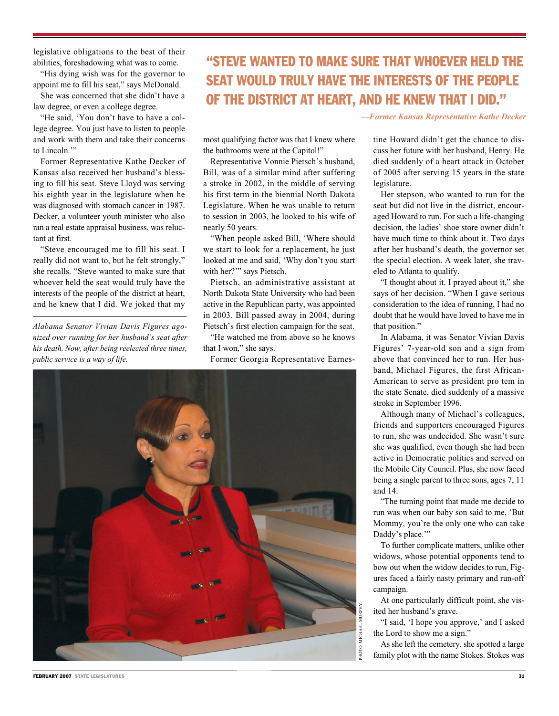legislative obligations to the best of their abilities, foreshadowing what was to come.

"His dying wish was for the governor to appoint me to fill his seat," says McDonald.

She was concerned that she didn't have a law degree, or even a college degree.

"He said, 'You don't have to have a college degree. You just have to listen to people and work with them and take their concerns to Lincoln."

Former Representative Kathe Decker of Kansas also received her husband's blessing to fill his seat. Steve Lloyd was serving his eighth year in the legislature when he was diagnosed with stomach cancer in 1987. Decker, a volunteer youth minister who also ran a real estate appraisal business, was reluctant at first.

"Steve encouraged me to fill his seat. I really did not want to, but he felt strongly," she recalls. "Steve wanted to make sure that whoever held the seat would truly have the interests of the people of the district at heart, and he knew that I did. We joked that my

*Alabama Senator Vivian Davis Figures agonized over running for her husband's seat after his death. Now, after being reelected three times, public service is a way of life.* 

## "Steve wanted to make sure that whoever held the seat would truly have the interests of the people of the district at heart, and he knew that I did."

most qualifying factor was that I knew where the bathrooms were at the Capitol!"

Representative Vonnie Pietsch's husband, Bill, was of a similar mind after suffering a stroke in 2002, in the middle of serving his first term in the biennial North Dakota Legislature. When he was unable to return to session in 2003, he looked to his wife of nearly 50 years.

"When people asked Bill, 'Where should we start to look for a replacement, he just looked at me and said, 'Why don't you start with her?'" says Pietsch.

Pietsch, an administrative assistant at North Dakota State University who had been active in the Republican party, was appointed in 2003. Bill passed away in 2004, during Pietsch's first election campaign for the seat.

"He watched me from above so he knows that I won," she says.

Former Georgia Representative Earnes-



*—Former Kansas Representative Kathe Decker*

tine Howard didn't get the chance to discuss her future with her husband, Henry. He died suddenly of a heart attack in October of 2005 after serving 15 years in the state legislature.

Her stepson, who wanted to run for the seat but did not live in the district, encouraged Howard to run. For such a life-changing decision, the ladies' shoe store owner didn't have much time to think about it. Two days after her husband's death, the governor set the special election. A week later, she traveled to Atlanta to qualify.

"I thought about it. I prayed about it," she says of her decision. "When I gave serious consideration to the idea of running, I had no doubt that he would have loved to have me in that position."

In Alabama, it was Senator Vivian Davis Figures' 7-year-old son and a sign from above that convinced her to run. Her husband, Michael Figures, the first African-American to serve as president pro tem in the state Senate, died suddenly of a massive stroke in September 1996.

Although many of Michael's colleagues, friends and supporters encouraged Figures to run, she was undecided. She wasn't sure she was qualified, even though she had been active in Democratic politics and served on the Mobile City Council. Plus, she now faced being a single parent to three sons, ages 7, 11 and 14.

"The turning point that made me decide to run was when our baby son said to me, 'But Mommy, you're the only one who can take Daddy's place.""

To further complicate matters, unlike other widows, whose potential opponents tend to bow out when the widow decides to run, Figures faced a fairly nasty primary and run-off campaign.

At one particularly difficult point, she visited her husband's grave.

"I said, 'I hope you approve,' and I asked the Lord to show me a sign."

As she left the cemetery, she spotted a large family plot with the name Stokes. Stokes was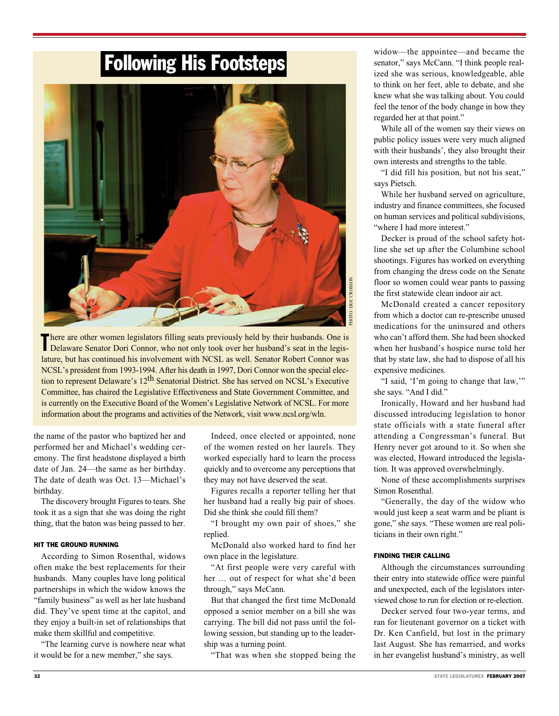# Following His Footsteps



There are other women legislators filling seats previously held by their husbands. One is Delaware Senator Dori Connor, who not only took over her husband's seat in the legishere are other women legislators filling seats previously held by their husbands. One is lature, but has continued his involvement with NCSL as well. Senator Robert Connor was NCSL's president from 1993-1994. After his death in 1997, Dori Connor won the special election to represent Delaware's 12<sup>th</sup> Senatorial District. She has served on NCSL's Executive Committee, has chaired the Legislative Effectiveness and State Government Committee, and is currently on the Executive Board of the Women's Legislative Network of NCSL. For more information about the programs and activities of the Network, visit www.ncsl.org/wln.

the name of the pastor who baptized her and performed her and Michael's wedding ceremony. The first headstone displayed a birth date of Jan. 24—the same as her birthday. The date of death was Oct. 13—Michael's birthday.

The discovery brought Figures to tears. She took it as a sign that she was doing the right thing, that the baton was being passed to her.

### Hit the Ground Running

According to Simon Rosenthal, widows often make the best replacements for their husbands. Many couples have long political partnerships in which the widow knows the "family business" as well as her late husband did. They've spent time at the capitol, and they enjoy a built-in set of relationships that make them skillful and competitive.

"The learning curve is nowhere near what it would be for a new member," she says.

Indeed, once elected or appointed, none of the women rested on her laurels. They worked especially hard to learn the process quickly and to overcome any perceptions that they may not have deserved the seat.

Figures recalls a reporter telling her that her husband had a really big pair of shoes. Did she think she could fill them?

"I brought my own pair of shoes," she replied.

McDonald also worked hard to find her own place in the legislature.

"At first people were very careful with her … out of respect for what she'd been through," says McCann.

But that changed the first time McDonald opposed a senior member on a bill she was carrying. The bill did not pass until the following session, but standing up to the leadership was a turning point.

"That was when she stopped being the

widow—the appointee—and became the senator," says McCann. "I think people realized she was serious, knowledgeable, able to think on her feet, able to debate, and she knew what she was talking about. You could feel the tenor of the body change in how they regarded her at that point."

While all of the women say their views on public policy issues were very much aligned with their husbands', they also brought their own interests and strengths to the table.

"I did fill his position, but not his seat," says Pietsch.

While her husband served on agriculture, industry and finance committees, she focused on human services and political subdivisions, "where I had more interest."

Decker is proud of the school safety hotline she set up after the Columbine school shootings. Figures has worked on everything from changing the dress code on the Senate floor so women could wear pants to passing the first statewide clean indoor air act.

McDonald created a cancer repository from which a doctor can re-prescribe unused medications for the uninsured and others who can't afford them. She had been shocked when her husband's hospice nurse told her that by state law, she had to dispose of all his expensive medicines.

"I said, 'I'm going to change that law,'" she says. "And I did."

Ironically, Howard and her husband had discussed introducing legislation to honor state officials with a state funeral after attending a Congressman's funeral. But Henry never got around to it. So when she was elected, Howard introduced the legislation. It was approved overwhelmingly.

None of these accomplishments surprises Simon Rosenthal.

"Generally, the day of the widow who would just keep a seat warm and be pliant is gone," she says. "These women are real politicians in their own right."

#### Finding their calling

Although the circumstances surrounding their entry into statewide office were painful and unexpected, each of the legislators interviewed chose to run for election or re-election.

Decker served four two-year terms, and ran for lieutenant governor on a ticket with Dr. Ken Canfield, but lost in the primary last August. She has remarried, and works in her evangelist husband's ministry, as well